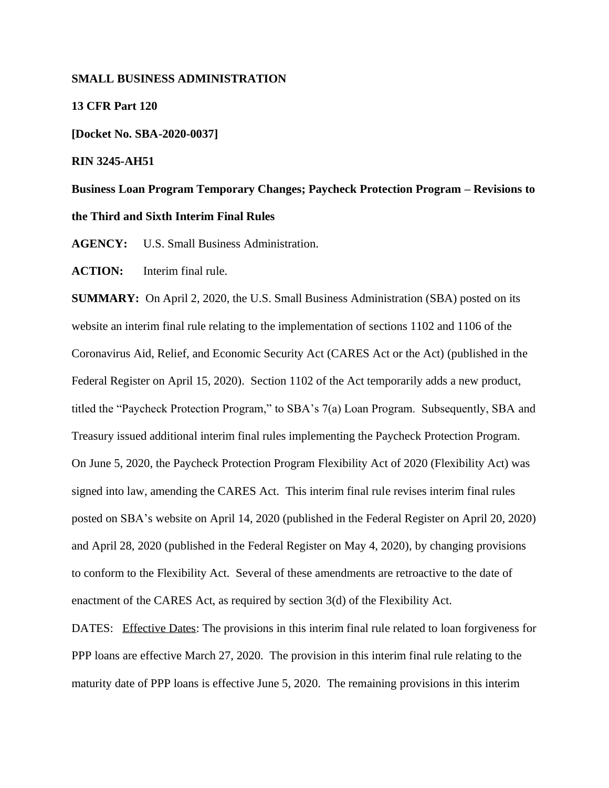# **SMALL BUSINESS ADMINISTRATION**

# **13 CFR Part 120**

**[Docket No. SBA-2020-0037]**

# **RIN 3245-AH51**

**Business Loan Program Temporary Changes; Paycheck Protection Program – Revisions to the Third and Sixth Interim Final Rules**

**AGENCY:** U.S. Small Business Administration.

**ACTION:** Interim final rule.

**SUMMARY:** On April 2, 2020, the U.S. Small Business Administration (SBA) posted on its website an interim final rule relating to the implementation of sections 1102 and 1106 of the Coronavirus Aid, Relief, and Economic Security Act (CARES Act or the Act) (published in the Federal Register on April 15, 2020). Section 1102 of the Act temporarily adds a new product, titled the "Paycheck Protection Program," to SBA's 7(a) Loan Program. Subsequently, SBA and Treasury issued additional interim final rules implementing the Paycheck Protection Program. On June 5, 2020, the Paycheck Protection Program Flexibility Act of 2020 (Flexibility Act) was signed into law, amending the CARES Act. This interim final rule revises interim final rules posted on SBA's website on April 14, 2020 (published in the Federal Register on April 20, 2020) and April 28, 2020 (published in the Federal Register on May 4, 2020), by changing provisions to conform to the Flexibility Act. Several of these amendments are retroactive to the date of enactment of the CARES Act, as required by section 3(d) of the Flexibility Act.

DATES: Effective Dates: The provisions in this interim final rule related to loan forgiveness for PPP loans are effective March 27, 2020. The provision in this interim final rule relating to the maturity date of PPP loans is effective June 5, 2020. The remaining provisions in this interim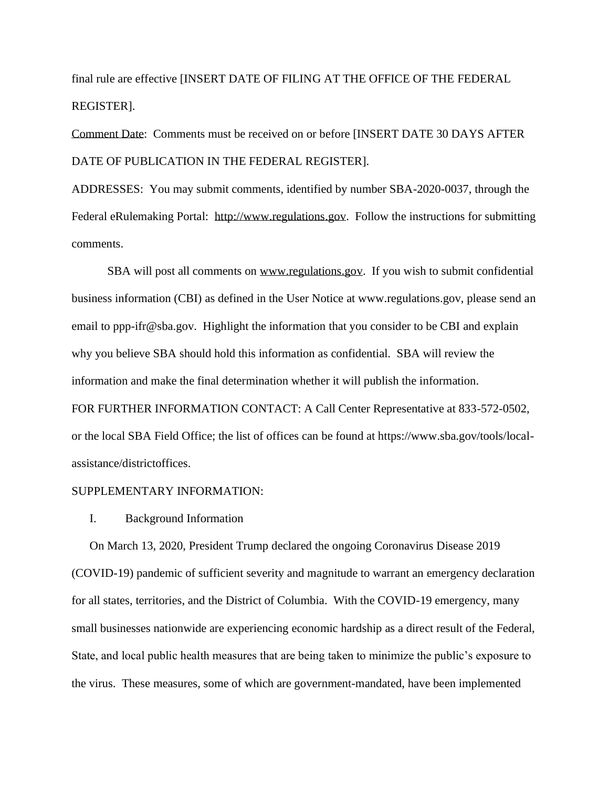final rule are effective [INSERT DATE OF FILING AT THE OFFICE OF THE FEDERAL REGISTER].

Comment Date: Comments must be received on or before [INSERT DATE 30 DAYS AFTER DATE OF PUBLICATION IN THE FEDERAL REGISTER].

ADDRESSES: You may submit comments, identified by number SBA-2020-0037, through the Federal eRulemaking Portal: http://www.regulations.gov. Follow the instructions for submitting comments.

SBA will post all comments on www.regulations.gov. If you wish to submit confidential business information (CBI) as defined in the User Notice at www.regulations.gov, please send an email to ppp-ifr@sba.gov. Highlight the information that you consider to be CBI and explain why you believe SBA should hold this information as confidential. SBA will review the information and make the final determination whether it will publish the information. FOR FURTHER INFORMATION CONTACT: A Call Center Representative at 833-572-0502, or the local SBA Field Office; the list of offices can be found at https://www.sba.gov/tools/localassistance/districtoffices.

#### SUPPLEMENTARY INFORMATION:

I. Background Information

On March 13, 2020, President Trump declared the ongoing Coronavirus Disease 2019 (COVID-19) pandemic of sufficient severity and magnitude to warrant an emergency declaration for all states, territories, and the District of Columbia. With the COVID-19 emergency, many small businesses nationwide are experiencing economic hardship as a direct result of the Federal, State, and local public health measures that are being taken to minimize the public's exposure to the virus. These measures, some of which are government-mandated, have been implemented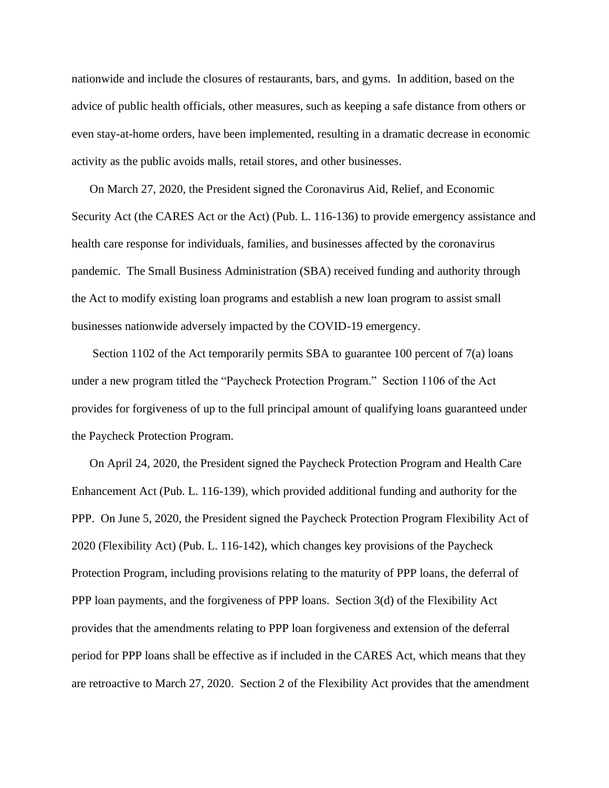nationwide and include the closures of restaurants, bars, and gyms. In addition, based on the advice of public health officials, other measures, such as keeping a safe distance from others or even stay-at-home orders, have been implemented, resulting in a dramatic decrease in economic activity as the public avoids malls, retail stores, and other businesses.

On March 27, 2020, the President signed the Coronavirus Aid, Relief, and Economic Security Act (the CARES Act or the Act) (Pub. L. 116-136) to provide emergency assistance and health care response for individuals, families, and businesses affected by the coronavirus pandemic. The Small Business Administration (SBA) received funding and authority through the Act to modify existing loan programs and establish a new loan program to assist small businesses nationwide adversely impacted by the COVID-19 emergency.

Section 1102 of the Act temporarily permits SBA to guarantee 100 percent of 7(a) loans under a new program titled the "Paycheck Protection Program." Section 1106 of the Act provides for forgiveness of up to the full principal amount of qualifying loans guaranteed under the Paycheck Protection Program.

On April 24, 2020, the President signed the Paycheck Protection Program and Health Care Enhancement Act (Pub. L. 116-139), which provided additional funding and authority for the PPP. On June 5, 2020, the President signed the Paycheck Protection Program Flexibility Act of 2020 (Flexibility Act) (Pub. L. 116-142), which changes key provisions of the Paycheck Protection Program, including provisions relating to the maturity of PPP loans, the deferral of PPP loan payments, and the forgiveness of PPP loans. Section 3(d) of the Flexibility Act provides that the amendments relating to PPP loan forgiveness and extension of the deferral period for PPP loans shall be effective as if included in the CARES Act, which means that they are retroactive to March 27, 2020. Section 2 of the Flexibility Act provides that the amendment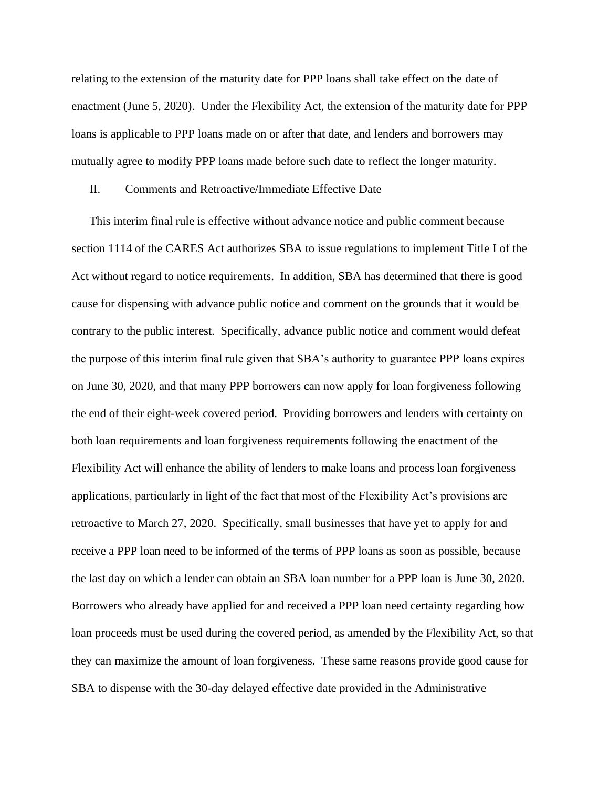relating to the extension of the maturity date for PPP loans shall take effect on the date of enactment (June 5, 2020). Under the Flexibility Act, the extension of the maturity date for PPP loans is applicable to PPP loans made on or after that date, and lenders and borrowers may mutually agree to modify PPP loans made before such date to reflect the longer maturity.

# II. Comments and Retroactive/Immediate Effective Date

This interim final rule is effective without advance notice and public comment because section 1114 of the CARES Act authorizes SBA to issue regulations to implement Title I of the Act without regard to notice requirements. In addition, SBA has determined that there is good cause for dispensing with advance public notice and comment on the grounds that it would be contrary to the public interest. Specifically, advance public notice and comment would defeat the purpose of this interim final rule given that SBA's authority to guarantee PPP loans expires on June 30, 2020, and that many PPP borrowers can now apply for loan forgiveness following the end of their eight-week covered period. Providing borrowers and lenders with certainty on both loan requirements and loan forgiveness requirements following the enactment of the Flexibility Act will enhance the ability of lenders to make loans and process loan forgiveness applications, particularly in light of the fact that most of the Flexibility Act's provisions are retroactive to March 27, 2020. Specifically, small businesses that have yet to apply for and receive a PPP loan need to be informed of the terms of PPP loans as soon as possible, because the last day on which a lender can obtain an SBA loan number for a PPP loan is June 30, 2020. Borrowers who already have applied for and received a PPP loan need certainty regarding how loan proceeds must be used during the covered period, as amended by the Flexibility Act, so that they can maximize the amount of loan forgiveness. These same reasons provide good cause for SBA to dispense with the 30-day delayed effective date provided in the Administrative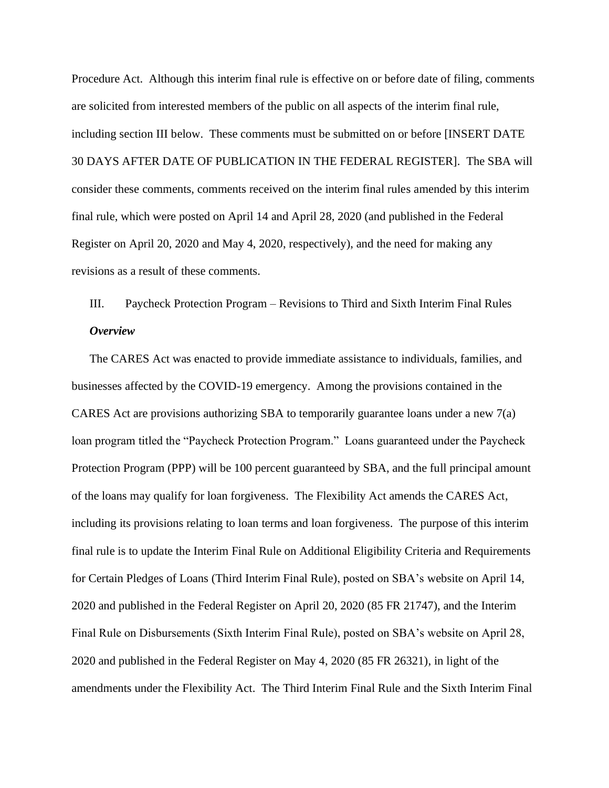Procedure Act. Although this interim final rule is effective on or before date of filing, comments are solicited from interested members of the public on all aspects of the interim final rule, including section III below. These comments must be submitted on or before [INSERT DATE 30 DAYS AFTER DATE OF PUBLICATION IN THE FEDERAL REGISTER]. The SBA will consider these comments, comments received on the interim final rules amended by this interim final rule, which were posted on April 14 and April 28, 2020 (and published in the Federal Register on April 20, 2020 and May 4, 2020, respectively), and the need for making any revisions as a result of these comments.

# III. Paycheck Protection Program – Revisions to Third and Sixth Interim Final Rules *Overview*

The CARES Act was enacted to provide immediate assistance to individuals, families, and businesses affected by the COVID-19 emergency. Among the provisions contained in the CARES Act are provisions authorizing SBA to temporarily guarantee loans under a new 7(a) loan program titled the "Paycheck Protection Program." Loans guaranteed under the Paycheck Protection Program (PPP) will be 100 percent guaranteed by SBA, and the full principal amount of the loans may qualify for loan forgiveness. The Flexibility Act amends the CARES Act, including its provisions relating to loan terms and loan forgiveness. The purpose of this interim final rule is to update the Interim Final Rule on Additional Eligibility Criteria and Requirements for Certain Pledges of Loans (Third Interim Final Rule), posted on SBA's website on April 14, 2020 and published in the Federal Register on April 20, 2020 (85 FR 21747), and the Interim Final Rule on Disbursements (Sixth Interim Final Rule), posted on SBA's website on April 28, 2020 and published in the Federal Register on May 4, 2020 (85 FR 26321), in light of the amendments under the Flexibility Act. The Third Interim Final Rule and the Sixth Interim Final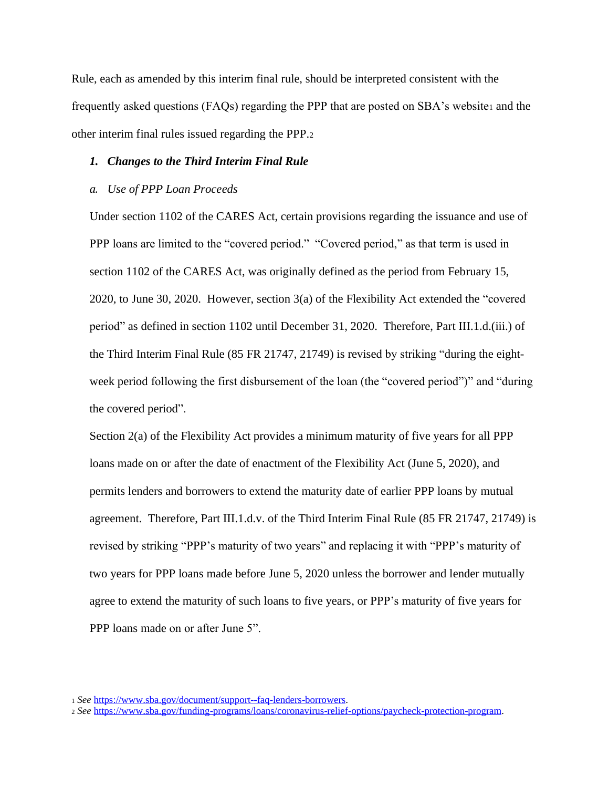Rule, each as amended by this interim final rule, should be interpreted consistent with the frequently asked questions (FAQs) regarding the PPP that are posted on SBA's website<sup>1</sup> and the other interim final rules issued regarding the PPP.<sup>2</sup>

# *1. Changes to the Third Interim Final Rule*

# *a. Use of PPP Loan Proceeds*

Under section 1102 of the CARES Act, certain provisions regarding the issuance and use of PPP loans are limited to the "covered period." "Covered period," as that term is used in section 1102 of the CARES Act, was originally defined as the period from February 15, 2020, to June 30, 2020. However, section 3(a) of the Flexibility Act extended the "covered period" as defined in section 1102 until December 31, 2020. Therefore, Part III.1.d.(iii.) of the Third Interim Final Rule (85 FR 21747, 21749) is revised by striking "during the eightweek period following the first disbursement of the loan (the "covered period")" and "during the covered period".

Section 2(a) of the Flexibility Act provides a minimum maturity of five years for all PPP loans made on or after the date of enactment of the Flexibility Act (June 5, 2020), and permits lenders and borrowers to extend the maturity date of earlier PPP loans by mutual agreement. Therefore, Part III.1.d.v. of the Third Interim Final Rule (85 FR 21747, 21749) is revised by striking "PPP's maturity of two years" and replacing it with "PPP's maturity of two years for PPP loans made before June 5, 2020 unless the borrower and lender mutually agree to extend the maturity of such loans to five years, or PPP's maturity of five years for PPP loans made on or after June 5".

<sup>1</sup> *See* [https://www.sba.gov/document/support--faq-lenders-borrowers.](https://www.sba.gov/document/support--faq-lenders-borrowers)

<sup>2</sup> *See* [https://www.sba.gov/funding-programs/loans/coronavirus-relief-options/paycheck-protection-program.](https://www.sba.gov/funding-programs/loans/coronavirus-relief-options/paycheck-protection-program)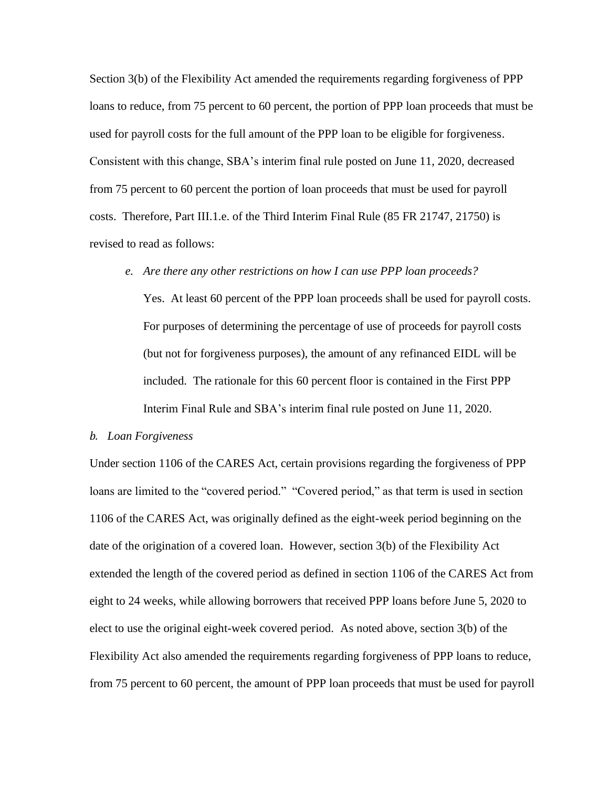Section 3(b) of the Flexibility Act amended the requirements regarding forgiveness of PPP loans to reduce, from 75 percent to 60 percent, the portion of PPP loan proceeds that must be used for payroll costs for the full amount of the PPP loan to be eligible for forgiveness. Consistent with this change, SBA's interim final rule posted on June 11, 2020, decreased from 75 percent to 60 percent the portion of loan proceeds that must be used for payroll costs. Therefore, Part III.1.e. of the Third Interim Final Rule (85 FR 21747, 21750) is revised to read as follows:

# *e. Are there any other restrictions on how I can use PPP loan proceeds?*

Yes. At least 60 percent of the PPP loan proceeds shall be used for payroll costs. For purposes of determining the percentage of use of proceeds for payroll costs (but not for forgiveness purposes), the amount of any refinanced EIDL will be included. The rationale for this 60 percent floor is contained in the First PPP Interim Final Rule and SBA's interim final rule posted on June 11, 2020.

#### *b. Loan Forgiveness*

Under section 1106 of the CARES Act, certain provisions regarding the forgiveness of PPP loans are limited to the "covered period." "Covered period," as that term is used in section 1106 of the CARES Act, was originally defined as the eight-week period beginning on the date of the origination of a covered loan. However, section 3(b) of the Flexibility Act extended the length of the covered period as defined in section 1106 of the CARES Act from eight to 24 weeks, while allowing borrowers that received PPP loans before June 5, 2020 to elect to use the original eight-week covered period. As noted above, section 3(b) of the Flexibility Act also amended the requirements regarding forgiveness of PPP loans to reduce, from 75 percent to 60 percent, the amount of PPP loan proceeds that must be used for payroll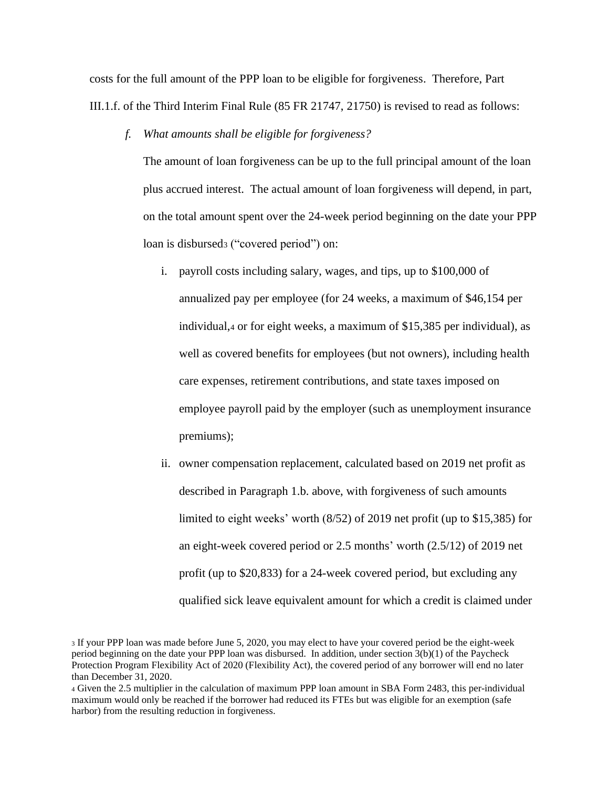costs for the full amount of the PPP loan to be eligible for forgiveness. Therefore, Part III.1.f. of the Third Interim Final Rule (85 FR 21747, 21750) is revised to read as follows:

*f. What amounts shall be eligible for forgiveness?*

The amount of loan forgiveness can be up to the full principal amount of the loan plus accrued interest. The actual amount of loan forgiveness will depend, in part, on the total amount spent over the 24-week period beginning on the date your PPP loan is disbursed<sub>3</sub> ("covered period") on:

- i. payroll costs including salary, wages, and tips, up to \$100,000 of annualized pay per employee (for 24 weeks, a maximum of \$46,154 per individual,<sup>4</sup> or for eight weeks, a maximum of \$15,385 per individual), as well as covered benefits for employees (but not owners), including health care expenses, retirement contributions, and state taxes imposed on employee payroll paid by the employer (such as unemployment insurance premiums);
- ii. owner compensation replacement, calculated based on 2019 net profit as described in Paragraph 1.b. above, with forgiveness of such amounts limited to eight weeks' worth (8/52) of 2019 net profit (up to \$15,385) for an eight-week covered period or 2.5 months' worth (2.5/12) of 2019 net profit (up to \$20,833) for a 24-week covered period, but excluding any qualified sick leave equivalent amount for which a credit is claimed under

<sup>3</sup> If your PPP loan was made before June 5, 2020, you may elect to have your covered period be the eight-week period beginning on the date your PPP loan was disbursed. In addition, under section 3(b)(1) of the Paycheck Protection Program Flexibility Act of 2020 (Flexibility Act), the covered period of any borrower will end no later than December 31, 2020.

<sup>4</sup> Given the 2.5 multiplier in the calculation of maximum PPP loan amount in SBA Form 2483, this per-individual maximum would only be reached if the borrower had reduced its FTEs but was eligible for an exemption (safe harbor) from the resulting reduction in forgiveness.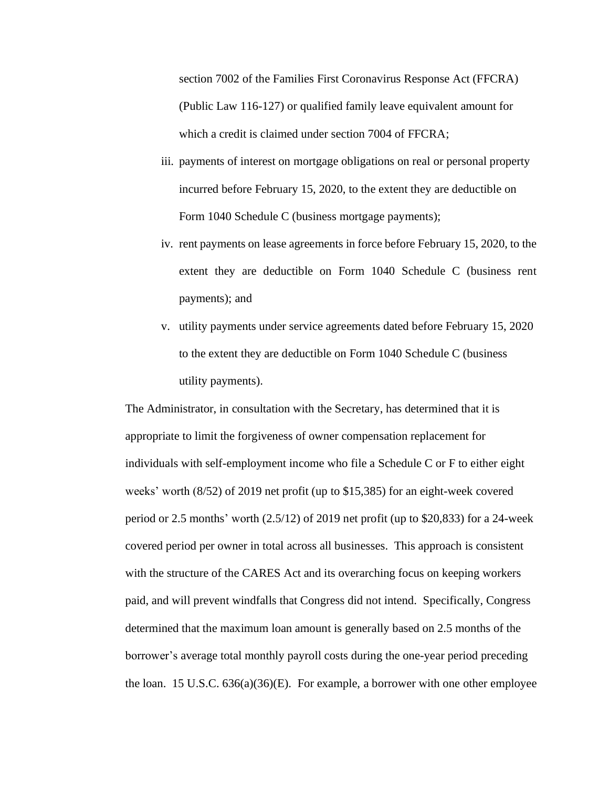section 7002 of the Families First Coronavirus Response Act (FFCRA) (Public Law 116-127) or qualified family leave equivalent amount for which a credit is claimed under section 7004 of FFCRA;

- iii. payments of interest on mortgage obligations on real or personal property incurred before February 15, 2020, to the extent they are deductible on Form 1040 Schedule C (business mortgage payments);
- iv. rent payments on lease agreements in force before February 15, 2020, to the extent they are deductible on Form 1040 Schedule C (business rent payments); and
- v. utility payments under service agreements dated before February 15, 2020 to the extent they are deductible on Form 1040 Schedule C (business utility payments).

The Administrator, in consultation with the Secretary, has determined that it is appropriate to limit the forgiveness of owner compensation replacement for individuals with self-employment income who file a Schedule C or F to either eight weeks' worth (8/52) of 2019 net profit (up to \$15,385) for an eight-week covered period or 2.5 months' worth (2.5/12) of 2019 net profit (up to \$20,833) for a 24-week covered period per owner in total across all businesses. This approach is consistent with the structure of the CARES Act and its overarching focus on keeping workers paid, and will prevent windfalls that Congress did not intend. Specifically, Congress determined that the maximum loan amount is generally based on 2.5 months of the borrower's average total monthly payroll costs during the one-year period preceding the loan. 15 U.S.C. 636(a)(36)(E). For example, a borrower with one other employee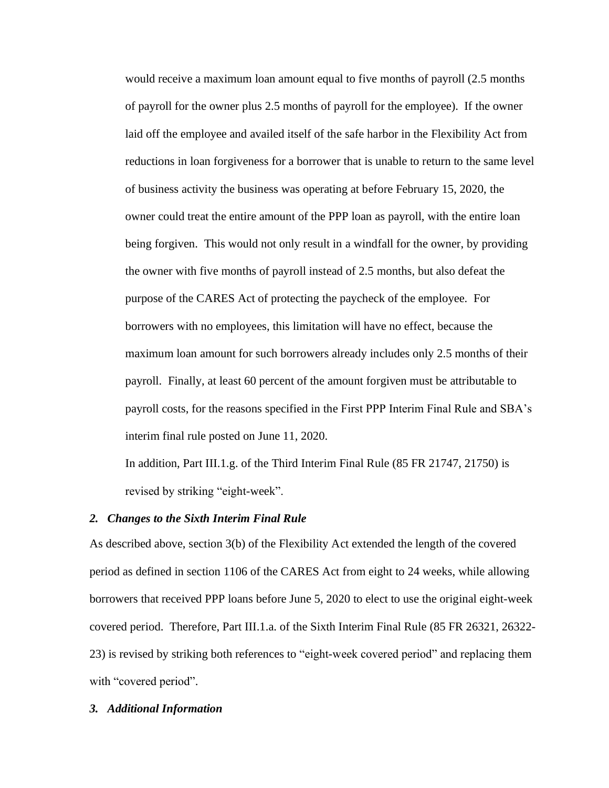would receive a maximum loan amount equal to five months of payroll (2.5 months of payroll for the owner plus 2.5 months of payroll for the employee). If the owner laid off the employee and availed itself of the safe harbor in the Flexibility Act from reductions in loan forgiveness for a borrower that is unable to return to the same level of business activity the business was operating at before February 15, 2020, the owner could treat the entire amount of the PPP loan as payroll, with the entire loan being forgiven. This would not only result in a windfall for the owner, by providing the owner with five months of payroll instead of 2.5 months, but also defeat the purpose of the CARES Act of protecting the paycheck of the employee. For borrowers with no employees, this limitation will have no effect, because the maximum loan amount for such borrowers already includes only 2.5 months of their payroll. Finally, at least 60 percent of the amount forgiven must be attributable to payroll costs, for the reasons specified in the First PPP Interim Final Rule and SBA's interim final rule posted on June 11, 2020.

In addition, Part III.1.g. of the Third Interim Final Rule (85 FR 21747, 21750) is revised by striking "eight-week".

# *2. Changes to the Sixth Interim Final Rule*

As described above, section 3(b) of the Flexibility Act extended the length of the covered period as defined in section 1106 of the CARES Act from eight to 24 weeks, while allowing borrowers that received PPP loans before June 5, 2020 to elect to use the original eight-week covered period. Therefore, Part III.1.a. of the Sixth Interim Final Rule (85 FR 26321, 26322- 23) is revised by striking both references to "eight-week covered period" and replacing them with "covered period".

# *3. Additional Information*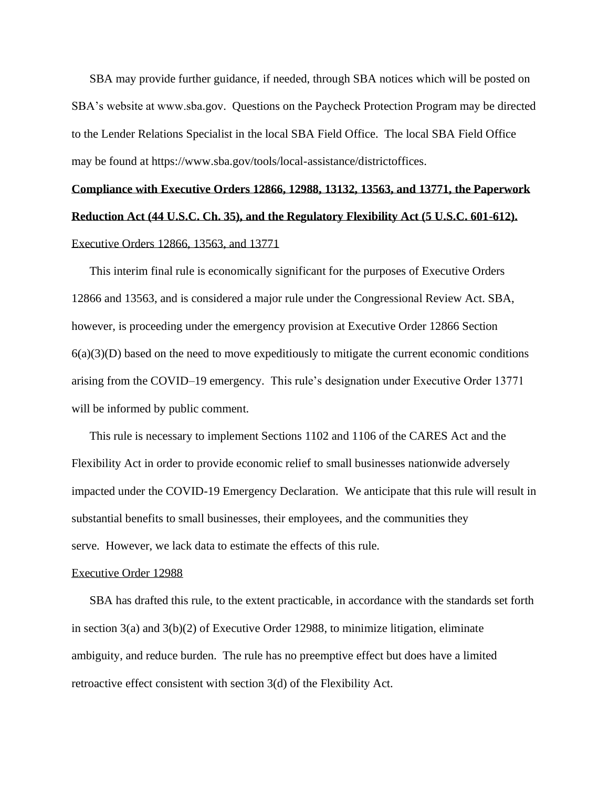SBA may provide further guidance, if needed, through SBA notices which will be posted on SBA's website at www.sba.gov. Questions on the Paycheck Protection Program may be directed to the Lender Relations Specialist in the local SBA Field Office. The local SBA Field Office may be found at https://www.sba.gov/tools/local-assistance/districtoffices.

# **Compliance with Executive Orders 12866, 12988, 13132, 13563, and 13771, the Paperwork Reduction Act (44 U.S.C. Ch. 35), and the Regulatory Flexibility Act (5 U.S.C. 601-612).**  Executive Orders 12866, 13563, and 13771

This interim final rule is economically significant for the purposes of Executive Orders 12866 and 13563, and is considered a major rule under the Congressional Review Act. SBA, however, is proceeding under the emergency provision at Executive Order 12866 Section  $6(a)(3)(D)$  based on the need to move expeditiously to mitigate the current economic conditions arising from the COVID–19 emergency. This rule's designation under Executive Order 13771 will be informed by public comment.

This rule is necessary to implement Sections 1102 and 1106 of the CARES Act and the Flexibility Act in order to provide economic relief to small businesses nationwide adversely impacted under the COVID-19 Emergency Declaration. We anticipate that this rule will result in substantial benefits to small businesses, their employees, and the communities they serve. However, we lack data to estimate the effects of this rule.

#### Executive Order 12988

SBA has drafted this rule, to the extent practicable, in accordance with the standards set forth in section  $3(a)$  and  $3(b)(2)$  of Executive Order 12988, to minimize litigation, eliminate ambiguity, and reduce burden. The rule has no preemptive effect but does have a limited retroactive effect consistent with section 3(d) of the Flexibility Act.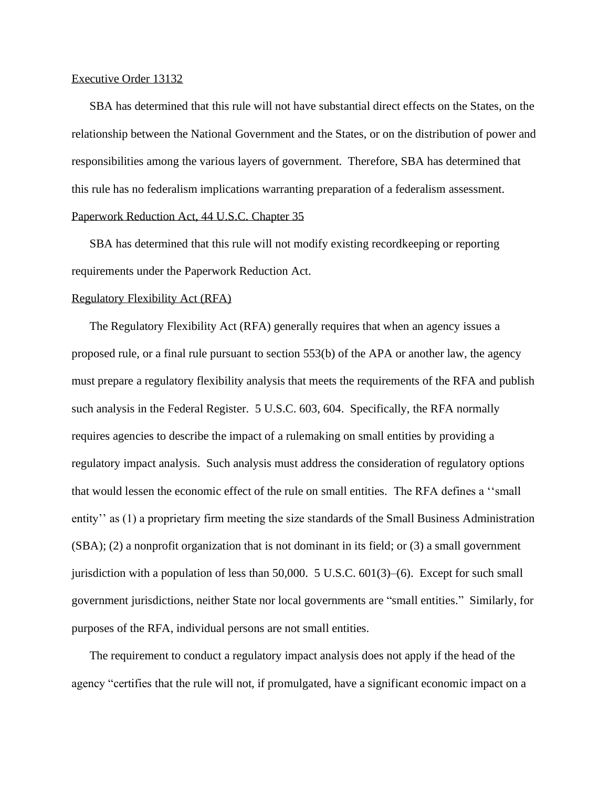# Executive Order 13132

SBA has determined that this rule will not have substantial direct effects on the States, on the relationship between the National Government and the States, or on the distribution of power and responsibilities among the various layers of government. Therefore, SBA has determined that this rule has no federalism implications warranting preparation of a federalism assessment.

# Paperwork Reduction Act, 44 U.S.C. Chapter 35

SBA has determined that this rule will not modify existing recordkeeping or reporting requirements under the Paperwork Reduction Act.

#### Regulatory Flexibility Act (RFA)

The Regulatory Flexibility Act (RFA) generally requires that when an agency issues a proposed rule, or a final rule pursuant to section 553(b) of the APA or another law, the agency must prepare a regulatory flexibility analysis that meets the requirements of the RFA and publish such analysis in the Federal Register. 5 U.S.C. 603, 604. Specifically, the RFA normally requires agencies to describe the impact of a rulemaking on small entities by providing a regulatory impact analysis. Such analysis must address the consideration of regulatory options that would lessen the economic effect of the rule on small entities. The RFA defines a ''small entity'' as (1) a proprietary firm meeting the size standards of the Small Business Administration (SBA); (2) a nonprofit organization that is not dominant in its field; or (3) a small government jurisdiction with a population of less than 50,000. 5 U.S.C. 601(3)–(6). Except for such small government jurisdictions, neither State nor local governments are "small entities." Similarly, for purposes of the RFA, individual persons are not small entities.

The requirement to conduct a regulatory impact analysis does not apply if the head of the agency "certifies that the rule will not, if promulgated, have a significant economic impact on a